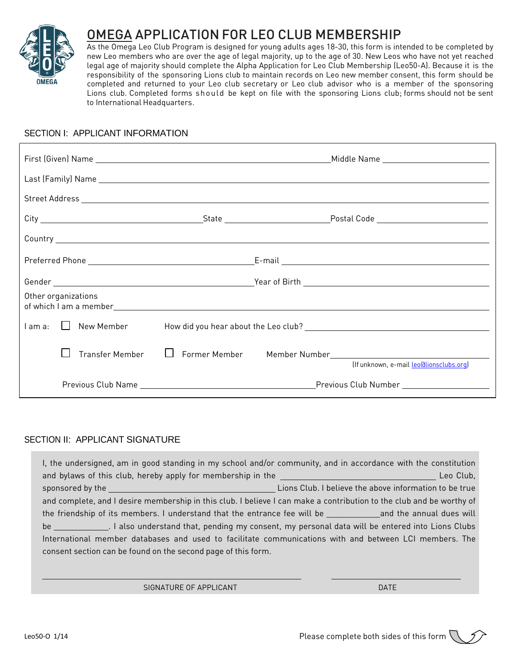

# OMEGA APPLICATION FOR LEO CLUB MEMBERSHIP

As the Omega Leo Club Program is designed for young adults ages 18-30, this form is intended to be completed by new Leo members who are over the age of legal majority, up to the age of 30. New Leos who have not yet reached legal age of majority should complete the Alpha Application for Leo Club Membership (Leo50-A). Because it is the responsibility of the sponsoring Lions club to maintain records on Leo new member consent, this form should be completed and returned to your Leo club secretary or Leo club advisor who is a member of the sponsoring Lions club. Completed forms should be kept on file with the sponsoring Lions club; forms should not be sent to International Headquarters.

### SECTION I: APPLICANT INFORMATION

| Other organizations |                 |              |                                                                                                         |
|---------------------|-----------------|--------------|---------------------------------------------------------------------------------------------------------|
| l am a:             | New Member      |              |                                                                                                         |
|                     | Transfer Member | $\mathbf{1}$ | Former Member Member Number Mumber Management Communications<br>(If unknown, e-mail leo@lionsclubs.org) |
|                     |                 |              |                                                                                                         |

# SECTION II: APPLICANT SIGNATURE

| I, the undersigned, am in good standing in my school and/or community, and in accordance with the constitution                                                                                                                 |  |  |  |  |  |
|--------------------------------------------------------------------------------------------------------------------------------------------------------------------------------------------------------------------------------|--|--|--|--|--|
|                                                                                                                                                                                                                                |  |  |  |  |  |
| sponsored by the sponsored by the series of the series of the series of the series of the sponsored by the series of the series of the series of the series of the series of the series of the series of the series of the ser |  |  |  |  |  |
| and complete, and I desire membership in this club. I believe I can make a contribution to the club and be worthy of                                                                                                           |  |  |  |  |  |
| the friendship of its members. I understand that the entrance fee will be example and the annual dues will                                                                                                                     |  |  |  |  |  |
| be _______________. I also understand that, pending my consent, my personal data will be entered into Lions Clubs                                                                                                              |  |  |  |  |  |
| International member databases and used to facilitate communications with and between LCI members. The                                                                                                                         |  |  |  |  |  |
| consent section can be found on the second page of this form.                                                                                                                                                                  |  |  |  |  |  |
|                                                                                                                                                                                                                                |  |  |  |  |  |

SIGNATURE OF APPLICANT And the contract of the contract of the contract of the contract of the contract of the